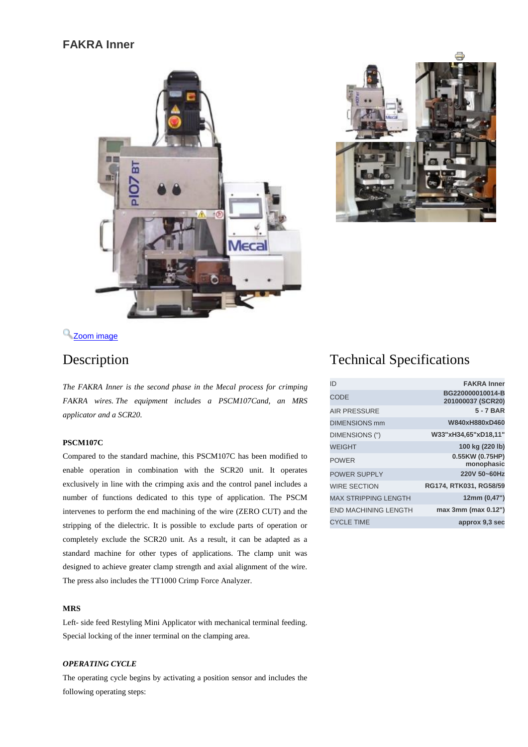## **FAKRA Inner**





# <sup>2</sup> [Z](http://www.mecal.net/components/com_jshopping/files/img_products/full_Sleeve_web.jpg)oom [image](http://www.mecal.net/components/com_jshopping/files/img_products/full_Sleeve_web.jpg)

*The FAKRA Inner is the second phase in the Mecal process for crimping FAKRA wires. The equipment includes a PSCM107Cand, an MRS applicator and a SCR20.*

#### **PSCM107C**

Compared to the standard machine, this PSCM107C has been modified to enable operation in combination with the SCR20 unit. It operates exclusively in line with the crimping axis and the control panel includes a number of functions dedicated to this type of application. The PSCM intervenes to perform the end machining of the wire (ZERO CUT) and the stripping of the dielectric. It is possible to exclude parts of operation or completely exclude the SCR20 unit. As a result, it can be adapted as a standard machine for other types of applications. The clamp unit was designed to achieve greater clamp strength and axial alignment of the wire. The press also includes the TT1000 Crimp Force Analyzer.

#### **MRS**

Left- side feed Restyling Mini Applicator with mechanical terminal feeding. Special locking of the inner terminal on the clamping area.

### *OPERATING CYCLE*

The operating cycle begins by activating a position sensor and includes the following operating steps:

# Description Technical Specifications

| ID                          | <b>FAKRA</b> Inner                    |
|-----------------------------|---------------------------------------|
| <b>CODE</b>                 | BG220000010014-B<br>201000037 (SCR20) |
| <b>AIR PRESSURE</b>         | 5 - 7 BAR                             |
| <b>DIMENSIONS mm</b>        | W840xH880xD460                        |
| DIMENSIONS (")              | W33"xH34,65"xD18,11"                  |
| <b>WEIGHT</b>               | 100 kg (220 lb)                       |
| <b>POWER</b>                | 0.55KW (0.75HP)<br>monophasic         |
| <b>POWER SUPPLY</b>         | 220V 50~60Hz                          |
| <b>WIRE SECTION</b>         | RG174, RTK031, RG58/59                |
| <b>MAX STRIPPING LENGTH</b> | 12mm (0,47")                          |
| <b>END MACHINING LENGTH</b> | max 3mm (max 0.12")                   |
| <b>CYCLE TIME</b>           | approx 9.3 sec                        |